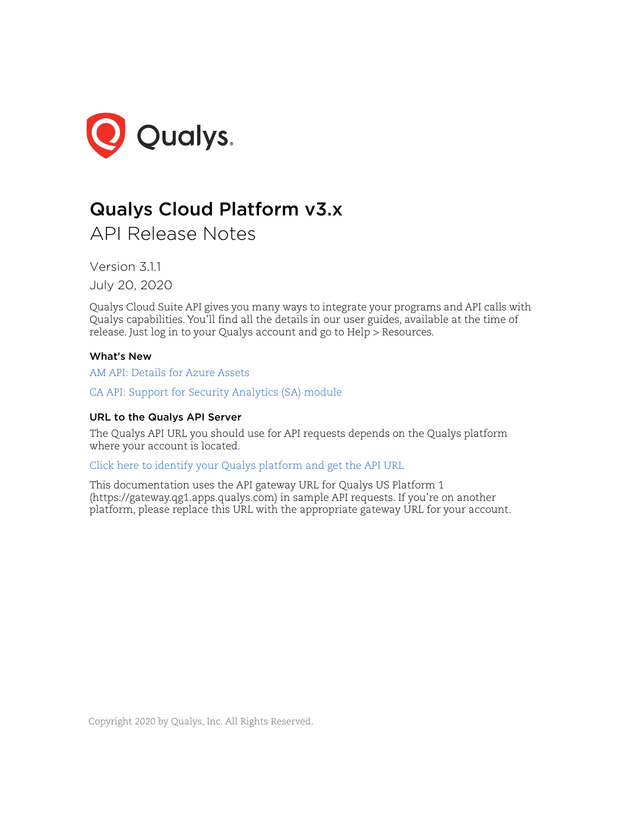

# Qualys Cloud Platform v3.x

API Release Notes

Version 3.1.1 July 20, 2020

Qualys Cloud Suite API gives you many ways to integrate your programs and API calls with Qualys capabilities. You'll find all the details in our user guides, available at the time of release. Just log in to your Qualys account and go to Help > Resources.

# What's New

[AM API: Details for Azure Assets](#page-1-0)

[CA API: Support for Security Analytics \(SA\) module](#page-9-0)

# URL to the Qualys API Server

The Qualys API URL you should use for API requests depends on the Qualys platform where your account is located.

[Click here to identify your Qualys platform and get the API URL](https://www.qualys.com/platform-identification/)

This documentation uses the API gateway URL for Qualys US Platform 1 (https://gateway.qg1.apps.qualys.com) in sample API requests. If you're on another platform, please replace this URL with the appropriate gateway URL for your account.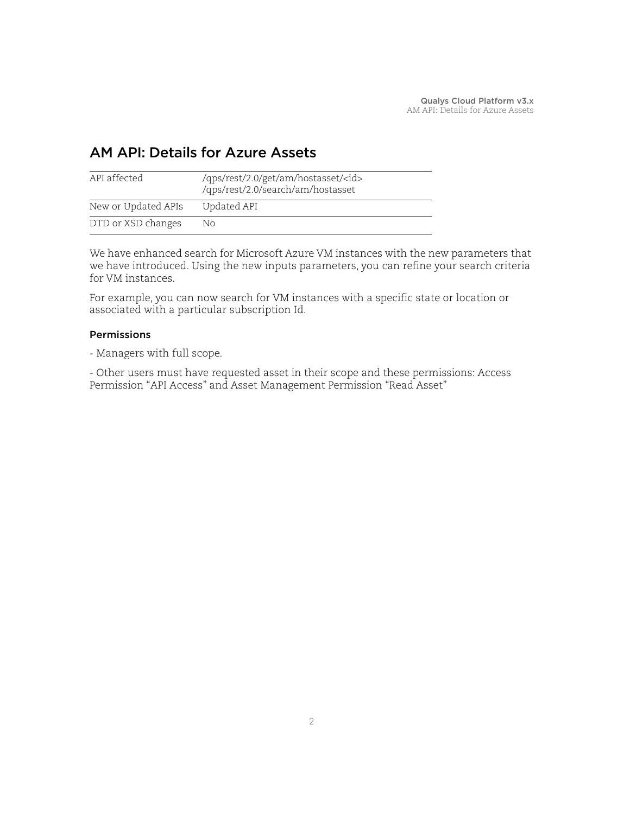# <span id="page-1-0"></span>AM API: Details for Azure Assets

| API affected        | /qps/rest/2.0/get/am/hostasset/ <id><br/>/qps/rest/2.0/search/am/hostasset</id> |
|---------------------|---------------------------------------------------------------------------------|
| New or Updated APIs | Updated API                                                                     |
| DTD or XSD changes  | No.                                                                             |

We have enhanced search for Microsoft Azure VM instances with the new parameters that we have introduced. Using the new inputs parameters, you can refine your search criteria for VM instances.

For example, you can now search for VM instances with a specific state or location or associated with a particular subscription Id.

# Permissions

- Managers with full scope.

- Other users must have requested asset in their scope and these permissions: Access Permission "API Access" and Asset Management Permission "Read Asset"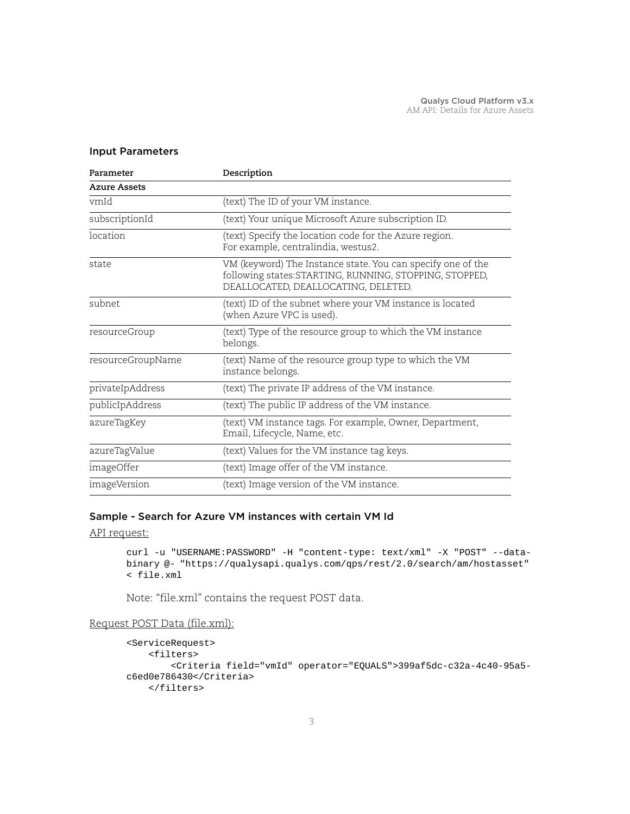# Input Parameters

| Parameter           | Description                                                                                                                                                   |
|---------------------|---------------------------------------------------------------------------------------------------------------------------------------------------------------|
| <b>Azure Assets</b> |                                                                                                                                                               |
| vmId                | (text) The ID of your VM instance.                                                                                                                            |
| subscriptionId      | (text) Your unique Microsoft Azure subscription ID.                                                                                                           |
| location            | (text) Specify the location code for the Azure region.<br>For example, centralindia, westus2.                                                                 |
| state               | VM (keyword) The Instance state. You can specify one of the<br>following states: STARTING, RUNNING, STOPPING, STOPPED,<br>DEALLOCATED, DEALLOCATING, DELETED. |
| subnet              | (text) ID of the subnet where your VM instance is located<br>(when Azure VPC is used).                                                                        |
| resourceGroup       | (text) Type of the resource group to which the VM instance<br>belongs.                                                                                        |
| resourceGroupName   | (text) Name of the resource group type to which the VM<br>instance belongs.                                                                                   |
| privateIpAddress    | (text) The private IP address of the VM instance.                                                                                                             |
| publicIpAddress     | (text) The public IP address of the VM instance.                                                                                                              |
| azureTagKey         | (text) VM instance tags. For example, Owner, Department,<br>Email, Lifecycle, Name, etc.                                                                      |
| azureTagValue       | (text) Values for the VM instance tag keys.                                                                                                                   |
| imageOffer          | (text) Image offer of the VM instance.                                                                                                                        |
| imageVersion        | (text) Image version of the VM instance.                                                                                                                      |

# Sample - Search for Azure VM instances with certain VM Id

API request:

```
curl -u "USERNAME:PASSWORD" -H "content-type: text/xml" -X "POST" --data-
binary @- "https://qualysapi.qualys.com/qps/rest/2.0/search/am/hostasset" 
< file.xml
```
Note: "file.xml" contains the request POST data.

# Request POST Data (file.xml):

```
<ServiceRequest>
     <filters>
         <Criteria field="vmId" operator="EQUALS">399af5dc-c32a-4c40-95a5-
c6ed0e786430</Criteria>
     </filters>
```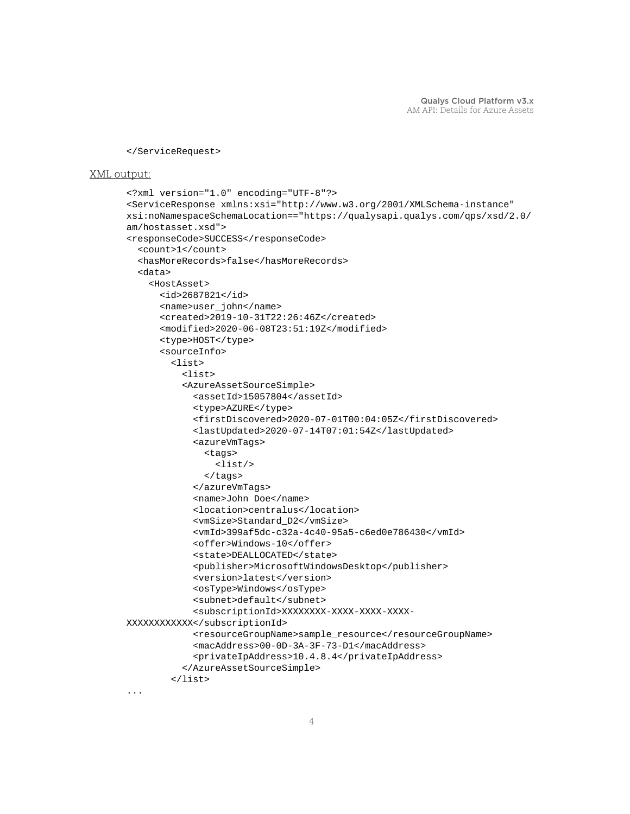```
</ServiceRequest>
```

```
<?xml version="1.0" encoding="UTF-8"?>
<ServiceResponse xmlns:xsi="http://www.w3.org/2001/XMLSchema-instance" 
xsi:noNamespaceSchemaLocation=="https://qualysapi.qualys.com/qps/xsd/2.0/
am/hostasset.xsd">
<responseCode>SUCCESS</responseCode>
   <count>1</count>
   <hasMoreRecords>false</hasMoreRecords>
   <data>
     <HostAsset>
       <id>2687821</id>
       <name>user_john</name>
       <created>2019-10-31T22:26:46Z</created>
       <modified>2020-06-08T23:51:19Z</modified>
       <type>HOST</type>
       <sourceInfo>
         <list>
           <list>
           <AzureAssetSourceSimple>
             <assetId>15057804</assetId>
            <type>AZURE</type>
             <firstDiscovered>2020-07-01T00:04:05Z</firstDiscovered>
             <lastUpdated>2020-07-14T07:01:54Z</lastUpdated>
             <azureVmTags>
               <tags>
                  <list/>
               </tags>
             </azureVmTags>
             <name>John Doe</name>
             <location>centralus</location>
             <vmSize>Standard_D2</vmSize>
             <vmId>399af5dc-c32a-4c40-95a5-c6ed0e786430</vmId>
             <offer>Windows-10</offer>
             <state>DEALLOCATED</state>
             <publisher>MicrosoftWindowsDesktop</publisher>
             <version>latest</version>
             <osType>Windows</osType>
             <subnet>default</subnet>
             <subscriptionId>XXXXXXXX-XXXX-XXXX-XXXX-
XXXXXXXXXXXX</subscriptionId>
             <resourceGroupName>sample_resource</resourceGroupName>
             <macAddress>00-0D-3A-3F-73-D1</macAddress>
             <privateIpAddress>10.4.8.4</privateIpAddress>
           </AzureAssetSourceSimple>
         </list>
...
```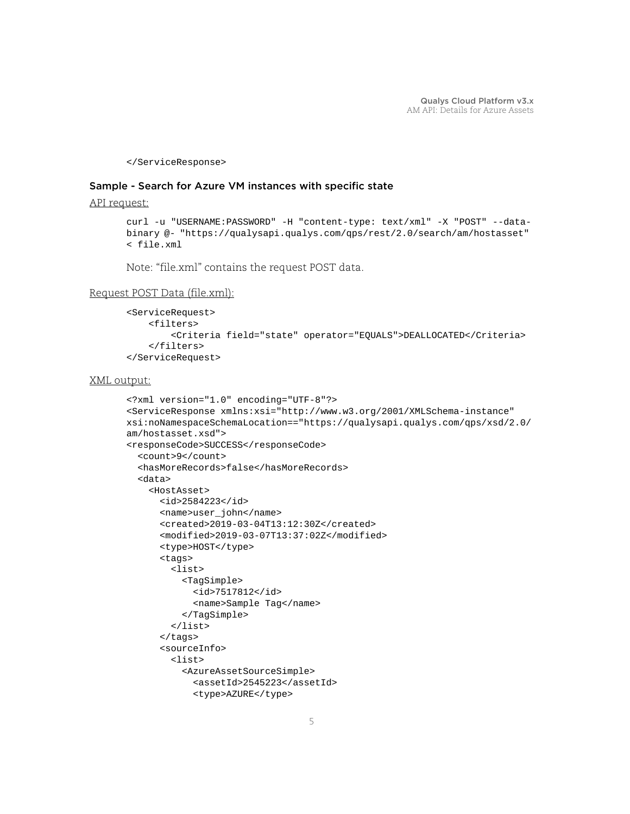</ServiceResponse>

# Sample - Search for Azure VM instances with specific state

API request:

```
curl -u "USERNAME:PASSWORD" -H "content-type: text/xml" -X "POST" --data-
binary @- "https://qualysapi.qualys.com/qps/rest/2.0/search/am/hostasset" 
< file.xml
```
Note: "file.xml" contains the request POST data.

#### Request POST Data (file.xml):

```
<ServiceRequest>
     <filters>
         <Criteria field="state" operator="EQUALS">DEALLOCATED</Criteria>
     </filters>
</ServiceRequest>
```

```
<?xml version="1.0" encoding="UTF-8"?>
<ServiceResponse xmlns:xsi="http://www.w3.org/2001/XMLSchema-instance" 
xsi:noNamespaceSchemaLocation=="https://qualysapi.qualys.com/qps/xsd/2.0/
am/hostasset.xsd">
<responseCode>SUCCESS</responseCode>
   <count>9</count>
   <hasMoreRecords>false</hasMoreRecords>
   <data>
     <HostAsset>
       <id>2584223</id>
       <name>user_john</name>
       <created>2019-03-04T13:12:30Z</created>
       <modified>2019-03-07T13:37:02Z</modified>
       <type>HOST</type>
       <tags>
         <list>
           <TagSimple>
             <id>7517812</id>
             <name>Sample Tag</name>
           </TagSimple>
         </list>
       </tags>
       <sourceInfo>
         <list>
           <AzureAssetSourceSimple>
             <assetId>2545223</assetId>
             <type>AZURE</type>
```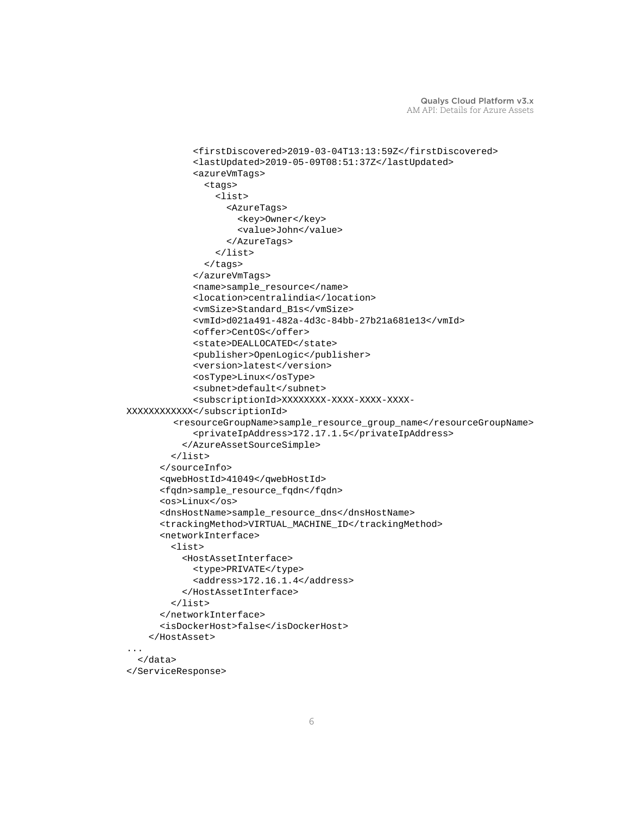```
 <firstDiscovered>2019-03-04T13:13:59Z</firstDiscovered>
             <lastUpdated>2019-05-09T08:51:37Z</lastUpdated>
             <azureVmTags>
                <tags>
                  <list>
                    <AzureTags>
                      <key>Owner</key>
                      <value>John</value>
                    </AzureTags>
                  </list>
                </tags>
             </azureVmTags>
             <name>sample_resource</name>
             <location>centralindia</location>
             <vmSize>Standard_B1s</vmSize>
             <vmId>d021a491-482a-4d3c-84bb-27b21a681e13</vmId>
             <offer>CentOS</offer>
             <state>DEALLOCATED</state>
             <publisher>OpenLogic</publisher>
             <version>latest</version>
             <osType>Linux</osType>
             <subnet>default</subnet>
             <subscriptionId>XXXXXXXX-XXXX-XXXX-XXXX-
XXXXXXXXXXXX</subscriptionId>
          <resourceGroupName>sample_resource_group_name</resourceGroupName>
             <privateIpAddress>172.17.1.5</privateIpAddress>
           </AzureAssetSourceSimple>
         </list>
       </sourceInfo>
       <qwebHostId>41049</qwebHostId>
       <fqdn>sample_resource_fqdn</fqdn>
       <os>Linux</os>
       <dnsHostName>sample_resource_dns</dnsHostName>
       <trackingMethod>VIRTUAL_MACHINE_ID</trackingMethod>
       <networkInterface>
         <list>
           <HostAssetInterface>
             <type>PRIVATE</type>
             <address>172.16.1.4</address>
           </HostAssetInterface>
         </list>
       </networkInterface>
       <isDockerHost>false</isDockerHost>
     </HostAsset> 
   </data>
</ServiceResponse>
```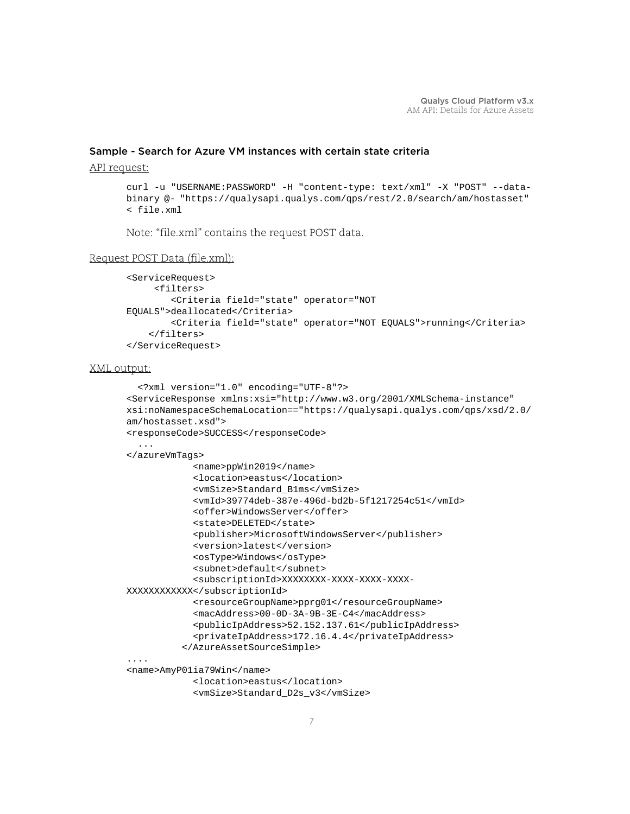# Sample - Search for Azure VM instances with certain state criteria

#### API request:

```
curl -u "USERNAME:PASSWORD" -H "content-type: text/xml" -X "POST" --data-
binary @- "https://qualysapi.qualys.com/qps/rest/2.0/search/am/hostasset" 
< file.xml
```
Note: "file.xml" contains the request POST data.

#### Request POST Data (file.xml):

```
<ServiceRequest>
      <filters>
         <Criteria field="state" operator="NOT 
EQUALS">deallocated</Criteria>
         <Criteria field="state" operator="NOT EQUALS">running</Criteria>
     </filters>
</ServiceRequest>
```

```
 <?xml version="1.0" encoding="UTF-8"?>
<ServiceResponse xmlns:xsi="http://www.w3.org/2001/XMLSchema-instance" 
xsi:noNamespaceSchemaLocation=="https://qualysapi.qualys.com/qps/xsd/2.0/
am/hostasset.xsd">
<responseCode>SUCCESS</responseCode>
</azureVmTags>
             <name>ppWin2019</name>
             <location>eastus</location>
             <vmSize>Standard_B1ms</vmSize>
             <vmId>39774deb-387e-496d-bd2b-5f1217254c51</vmId>
             <offer>WindowsServer</offer>
             <state>DELETED</state>
             <publisher>MicrosoftWindowsServer</publisher>
             <version>latest</version>
             <osType>Windows</osType>
             <subnet>default</subnet>
             <subscriptionId>XXXXXXXX-XXXX-XXXX-XXXX-
XXXXXXXXXXXX</subscriptionId>
             <resourceGroupName>pprg01</resourceGroupName>
             <macAddress>00-0D-3A-9B-3E-C4</macAddress>
             <publicIpAddress>52.152.137.61</publicIpAddress>
             <privateIpAddress>172.16.4.4</privateIpAddress>
           </AzureAssetSourceSimple>
....
<name>AmyP01ia79Win</name>
             <location>eastus</location>
             <vmSize>Standard_D2s_v3</vmSize>
```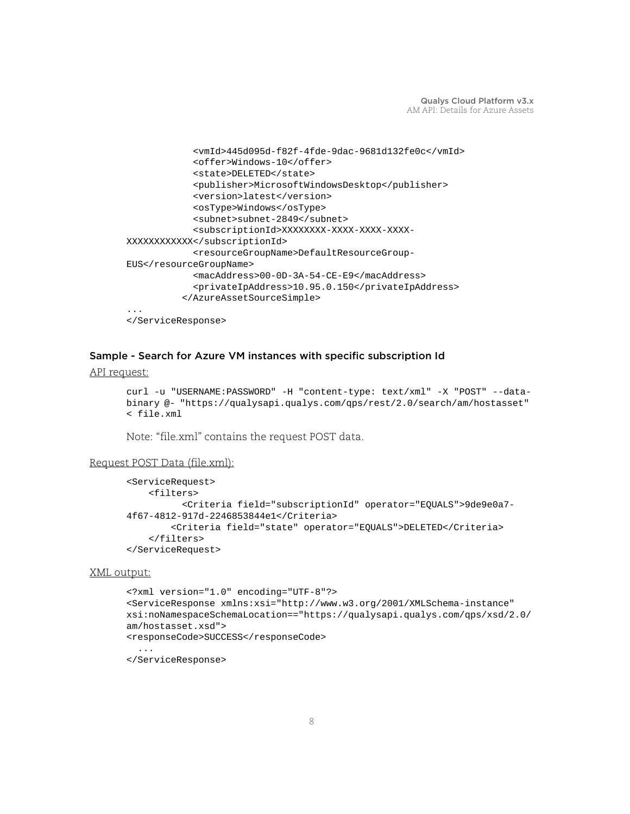```
 <vmId>445d095d-f82f-4fde-9dac-9681d132fe0c</vmId>
             <offer>Windows-10</offer>
             <state>DELETED</state>
             <publisher>MicrosoftWindowsDesktop</publisher>
             <version>latest</version>
             <osType>Windows</osType>
             <subnet>subnet-2849</subnet>
             <subscriptionId>XXXXXXXX-XXXX-XXXX-XXXX-
XXXXXXXXXXXX</subscriptionId>
             <resourceGroupName>DefaultResourceGroup-
EUS</resourceGroupName>
             <macAddress>00-0D-3A-54-CE-E9</macAddress>
             <privateIpAddress>10.95.0.150</privateIpAddress>
           </AzureAssetSourceSimple>
</ServiceResponse>
```
#### Sample - Search for Azure VM instances with specific subscription Id

#### API request:

```
curl -u "USERNAME:PASSWORD" -H "content-type: text/xml" -X "POST" --data-
binary @- "https://qualysapi.qualys.com/qps/rest/2.0/search/am/hostasset" 
< file.xml
```
Note: "file.xml" contains the request POST data.

#### Request POST Data (file.xml):

```
<ServiceRequest>
     <filters>
           <Criteria field="subscriptionId" operator="EQUALS">9de9e0a7-
4f67-4812-917d-2246853844e1</Criteria>
         <Criteria field="state" operator="EQUALS">DELETED</Criteria>
     </filters>
</ServiceRequest>
```

```
<?xml version="1.0" encoding="UTF-8"?>
<ServiceResponse xmlns:xsi="http://www.w3.org/2001/XMLSchema-instance" 
xsi:noNamespaceSchemaLocation=="https://qualysapi.qualys.com/qps/xsd/2.0/
am/hostasset.xsd">
<responseCode>SUCCESS</responseCode>
 ...
</ServiceResponse>
```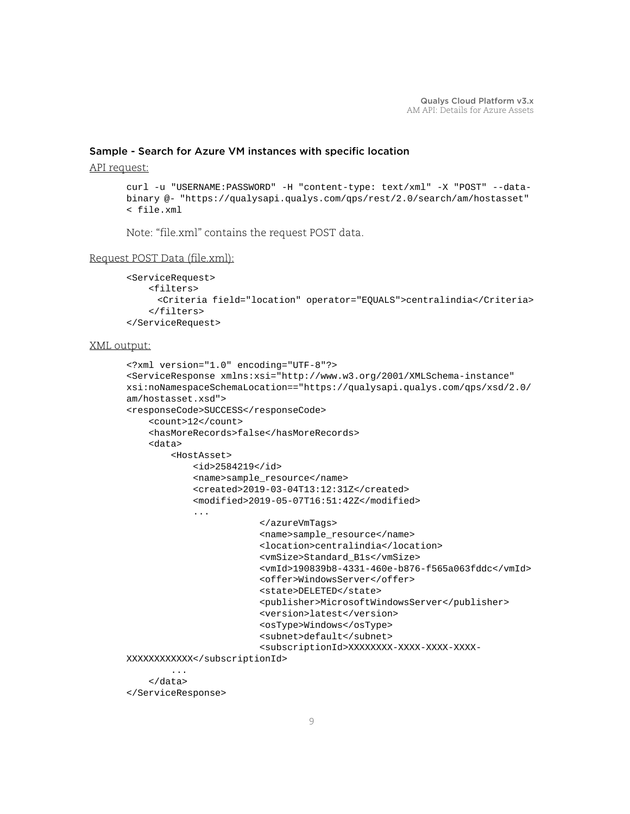# Sample - Search for Azure VM instances with specific location

#### API request:

```
curl -u "USERNAME:PASSWORD" -H "content-type: text/xml" -X "POST" --data-
binary @- "https://qualysapi.qualys.com/qps/rest/2.0/search/am/hostasset" 
< file.xml
```
Note: "file.xml" contains the request POST data.

# Request POST Data (file.xml):

```
<ServiceRequest>
     <filters>
       <Criteria field="location" operator="EQUALS">centralindia</Criteria>
     </filters>
</ServiceRequest>
```

```
<?xml version="1.0" encoding="UTF-8"?>
<ServiceResponse xmlns:xsi="http://www.w3.org/2001/XMLSchema-instance" 
xsi:noNamespaceSchemaLocation=="https://qualysapi.qualys.com/qps/xsd/2.0/
am/hostasset.xsd">
<responseCode>SUCCESS</responseCode>
     <count>12</count>
     <hasMoreRecords>false</hasMoreRecords>
     <data>
         <HostAsset>
             <id>2584219</id>
             <name>sample_resource</name>
             <created>2019-03-04T13:12:31Z</created>
             <modified>2019-05-07T16:51:42Z</modified>
             ...
                          </azureVmTags>
                          <name>sample_resource</name>
                          <location>centralindia</location>
                          <vmSize>Standard_B1s</vmSize>
                          <vmId>190839b8-4331-460e-b876-f565a063fddc</vmId>
                          <offer>WindowsServer</offer>
                          <state>DELETED</state>
                          <publisher>MicrosoftWindowsServer</publisher>
                          <version>latest</version>
                          <osType>Windows</osType>
                          <subnet>default</subnet>
                          <subscriptionId>XXXXXXXX-XXXX-XXXX-XXXX-
XXXXXXXXXXXX</subscriptionId>
         ...
     </data>
</ServiceResponse>
```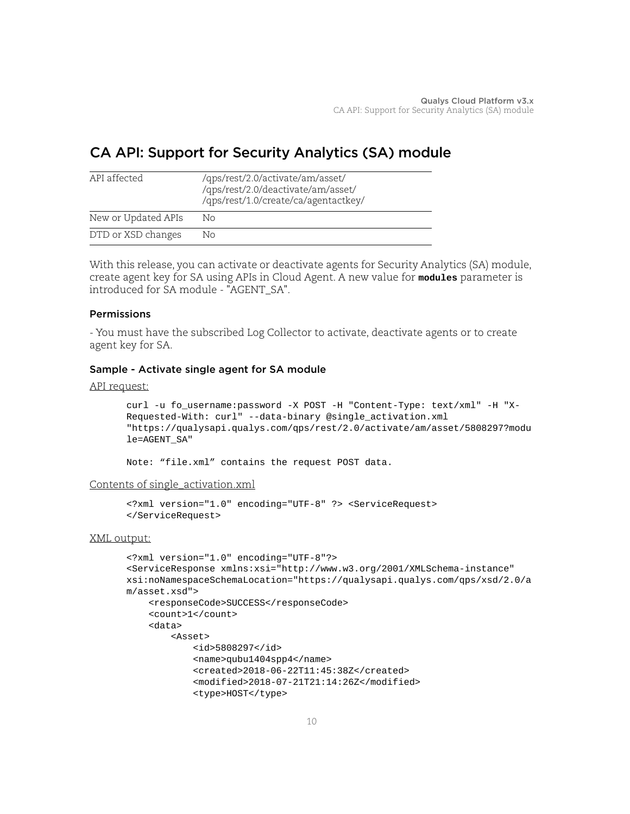# <span id="page-9-0"></span>CA API: Support for Security Analytics (SA) module

| API affected        | /qps/rest/2.0/activate/am/asset/<br>/qps/rest/2.0/deactivate/am/asset/<br>/qps/rest/1.0/create/ca/agentactkey/ |
|---------------------|----------------------------------------------------------------------------------------------------------------|
| New or Updated APIs | Nο                                                                                                             |
| DTD or XSD changes  | Nο                                                                                                             |

With this release, you can activate or deactivate agents for Security Analytics (SA) module, create agent key for SA using APIs in Cloud Agent. A new value for **modules** parameter is introduced for SA module - "AGENT\_SA".

# Permissions

- You must have the subscribed Log Collector to activate, deactivate agents or to create agent key for SA.

# Sample - Activate single agent for SA module

#### API request:

```
curl -u fo_username:password -X POST -H "Content-Type: text/xml" -H "X-
Requested-With: curl" --data-binary @single_activation.xml 
"https://qualysapi.qualys.com/qps/rest/2.0/activate/am/asset/5808297?modu
le=AGENT_SA"
```
Note: "file.xml" contains the request POST data.

#### Contents of single\_activation.xml

```
<?xml version="1.0" encoding="UTF-8" ?> <ServiceRequest> 
</ServiceRequest>
```

```
<?xml version="1.0" encoding="UTF-8"?>
<ServiceResponse xmlns:xsi="http://www.w3.org/2001/XMLSchema-instance" 
xsi:noNamespaceSchemaLocation="https://qualysapi.qualys.com/qps/xsd/2.0/a
m/asset.xsd">
     <responseCode>SUCCESS</responseCode>
     <count>1</count>
     <data>
        \angleAggat>
             <id>5808297</id>
             <name>qubu1404spp4</name>
             <created>2018-06-22T11:45:38Z</created>
             <modified>2018-07-21T21:14:26Z</modified>
            <type>HOST</type>
```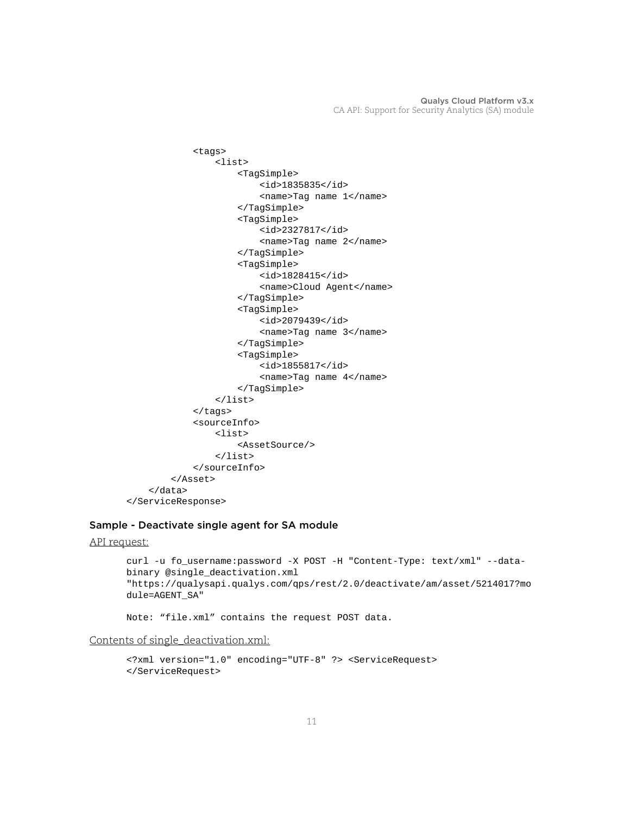```
 <tags>
                   <list>
                       <TagSimple>
                            <id>1835835</id>
                            <name>Tag name 1</name>
                       </TagSimple>
                       <TagSimple>
                            <id>2327817</id>
                            <name>Tag name 2</name>
                       </TagSimple>
                       <TagSimple>
                            <id>1828415</id>
                            <name>Cloud Agent</name>
                       </TagSimple>
                       <TagSimple>
                            <id>2079439</id>
                            <name>Tag name 3</name>
                       </TagSimple>
                       <TagSimple>
                            <id>1855817</id>
                            <name>Tag name 4</name>
                       </TagSimple>
                   </list>
              </tags>
              <sourceInfo>
                   <list>
                       <AssetSource/>
                   </list>
              </sourceInfo>
          </Asset>
     </data>
</ServiceResponse>
```
# Sample - Deactivate single agent for SA module

```
API request:
```

```
curl -u fo_username:password -X POST -H "Content-Type: text/xml" --data-
binary @single_deactivation.xml
"https://qualysapi.qualys.com/qps/rest/2.0/deactivate/am/asset/5214017?mo
dule=AGENT_SA"
```
Note: "file.xml" contains the request POST data.

Contents of single\_deactivation.xml:

```
<?xml version="1.0" encoding="UTF-8" ?> <ServiceRequest> 
</ServiceRequest>
```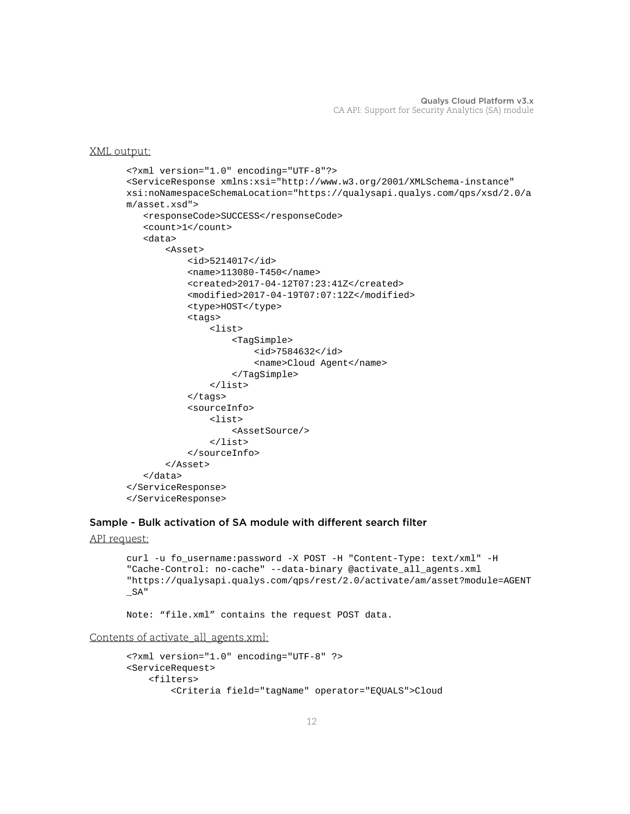```
<?xml version="1.0" encoding="UTF-8"?>
<ServiceResponse xmlns:xsi="http://www.w3.org/2001/XMLSchema-instance" 
xsi:noNamespaceSchemaLocation="https://qualysapi.qualys.com/qps/xsd/2.0/a
m/asset.xsd">
    <responseCode>SUCCESS</responseCode>
    <count>1</count>
    <data>
        <Asset>
            <id>5214017</id>
            <name>113080-T450</name>
            <created>2017-04-12T07:23:41Z</created>
            <modified>2017-04-19T07:07:12Z</modified>
            <type>HOST</type>
            <tags>
                 <list>
                     <TagSimple>
                         <id>7584632</id>
                         <name>Cloud Agent</name>
                     </TagSimple>
                 </list>
            </tags>
            <sourceInfo>
                 <list>
                     <AssetSource/>
                 </list>
            </sourceInfo>
        </Asset>
    </data>
</ServiceResponse>
</ServiceResponse>
```
#### Sample - Bulk activation of SA module with different search filter

```
API request:
```

```
curl -u fo_username:password -X POST -H "Content-Type: text/xml" -H 
"Cache-Control: no-cache" --data-binary @activate_all_agents.xml 
"https://qualysapi.qualys.com/qps/rest/2.0/activate/am/asset?module=AGENT
_SA"
```
Note: "file.xml" contains the request POST data.

Contents of activate\_all\_agents.xml:

```
<?xml version="1.0" encoding="UTF-8" ?>
<ServiceRequest>
     <filters>
         <Criteria field="tagName" operator="EQUALS">Cloud
```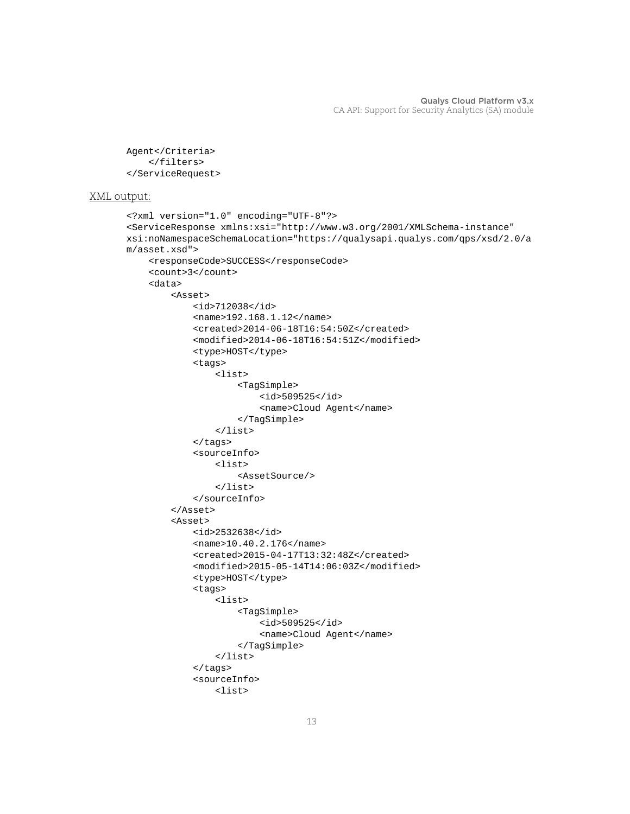```
Agent</Criteria>
     </filters>
</ServiceRequest>
```

```
<?xml version="1.0" encoding="UTF-8"?>
<ServiceResponse xmlns:xsi="http://www.w3.org/2001/XMLSchema-instance" 
xsi:noNamespaceSchemaLocation="https://qualysapi.qualys.com/qps/xsd/2.0/a
m/asset.xsd">
     <responseCode>SUCCESS</responseCode>
     <count>3</count>
     <data>
         <Asset>
              <id>712038</id>
              <name>192.168.1.12</name>
              <created>2014-06-18T16:54:50Z</created>
              <modified>2014-06-18T16:54:51Z</modified>
             <type>HOST</type>
              <tags>
                  <list>
                      <TagSimple>
                           <id>509525</id>
                           <name>Cloud Agent</name>
                      </TagSimple>
                  </list>
              </tags>
              <sourceInfo>
                  <list>
                      <AssetSource/>
                  </list>
              </sourceInfo>
         </Asset>
         <Asset>
              <id>2532638</id>
              <name>10.40.2.176</name>
              <created>2015-04-17T13:32:48Z</created>
              <modified>2015-05-14T14:06:03Z</modified>
              <type>HOST</type>
              <tags>
                  <list>
                       <TagSimple>
                           <id>509525</id>
                           <name>Cloud Agent</name>
                       </TagSimple>
                  </list>
              </tags>
              <sourceInfo>
                  <list>
```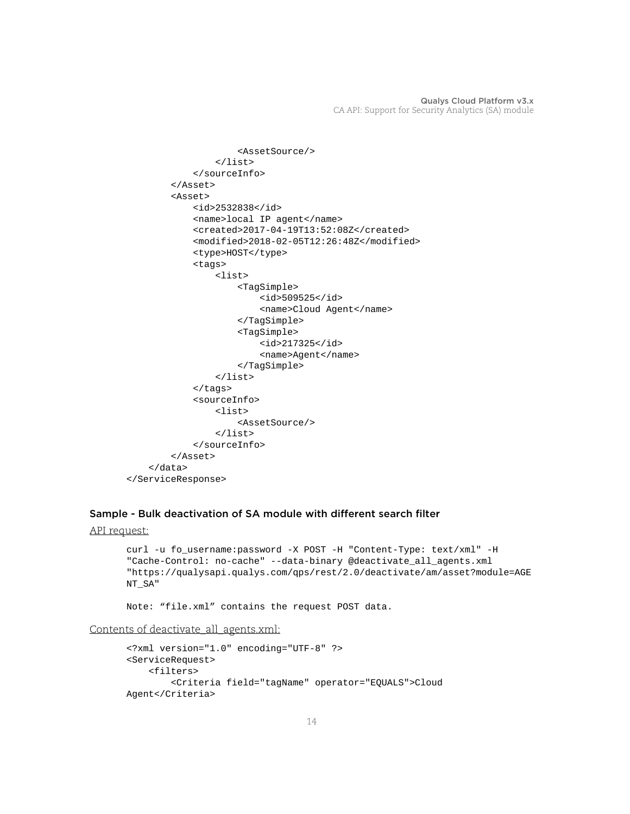```
 <AssetSource/>
                   </list>
              </sourceInfo>
          </Asset>
          <Asset>
              <id>2532838</id>
              <name>local IP agent</name>
              <created>2017-04-19T13:52:08Z</created>
              <modified>2018-02-05T12:26:48Z</modified>
              <type>HOST</type>
              <tags>
                  <list>
                       <TagSimple>
                           <id>509525</id>
                           <name>Cloud Agent</name>
                       </TagSimple>
                       <TagSimple>
                           <id>217325</id>
                           <name>Agent</name>
                       </TagSimple>
                  </list>
              </tags>
              <sourceInfo>
                  <list>
                       <AssetSource/>
                   </list>
              </sourceInfo>
          </Asset>
     </data>
</ServiceResponse>
```
# Sample - Bulk deactivation of SA module with different search filter

```
API request:
```

```
curl -u fo_username:password -X POST -H "Content-Type: text/xml" -H 
"Cache-Control: no-cache" --data-binary @deactivate_all_agents.xml 
"https://qualysapi.qualys.com/qps/rest/2.0/deactivate/am/asset?module=AGE
NT_SA"
```
Note: "file.xml" contains the request POST data.

Contents of deactivate\_all\_agents.xml:

```
<?xml version="1.0" encoding="UTF-8" ?>
<ServiceRequest>
     <filters>
         <Criteria field="tagName" operator="EQUALS">Cloud 
Agent</Criteria>
```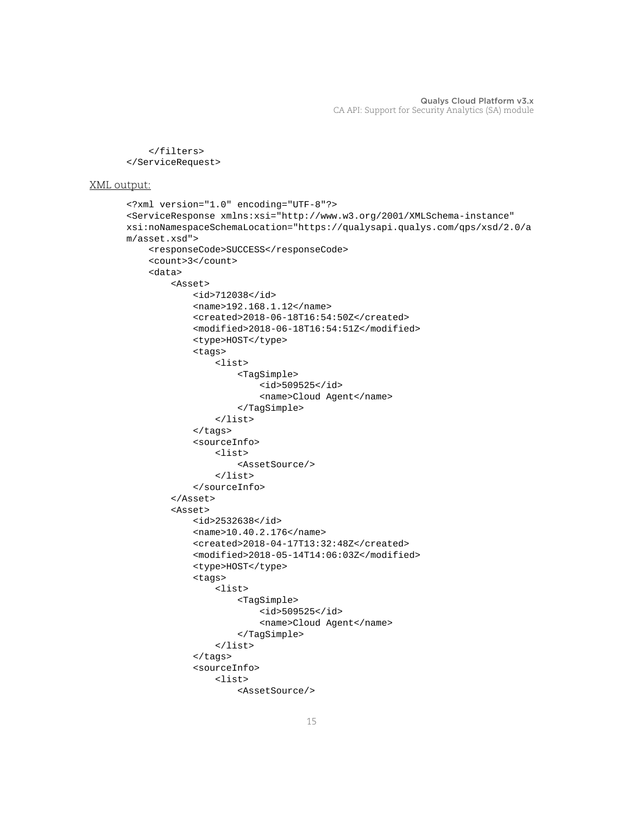```
 </filters>
</ServiceRequest>
```

```
<?xml version="1.0" encoding="UTF-8"?>
<ServiceResponse xmlns:xsi="http://www.w3.org/2001/XMLSchema-instance" 
xsi:noNamespaceSchemaLocation="https://qualysapi.qualys.com/qps/xsd/2.0/a
m/asset.xsd">
     <responseCode>SUCCESS</responseCode>
     <count>3</count>
     <data>
         <Asset>
              <id>712038</id>
              <name>192.168.1.12</name>
              <created>2018-06-18T16:54:50Z</created>
              <modified>2018-06-18T16:54:51Z</modified>
              <type>HOST</type>
              <tags>
                  <list>
                      <TagSimple>
                           <id>509525</id>
                           <name>Cloud Agent</name>
                       </TagSimple>
                  </list>
              </tags>
              <sourceInfo>
                  <list>
                       <AssetSource/>
                 \epsilon/list>
              </sourceInfo>
         </Asset>
         <Asset>
              <id>2532638</id>
              <name>10.40.2.176</name>
              <created>2018-04-17T13:32:48Z</created>
              <modified>2018-05-14T14:06:03Z</modified>
              <type>HOST</type>
              <tags>
                  <list>
                      <TagSimple>
                           <id>509525</id>
                           <name>Cloud Agent</name>
                      </TagSimple>
                  </list>
              </tags>
              <sourceInfo>
                  <list>
                      <AssetSource/>
```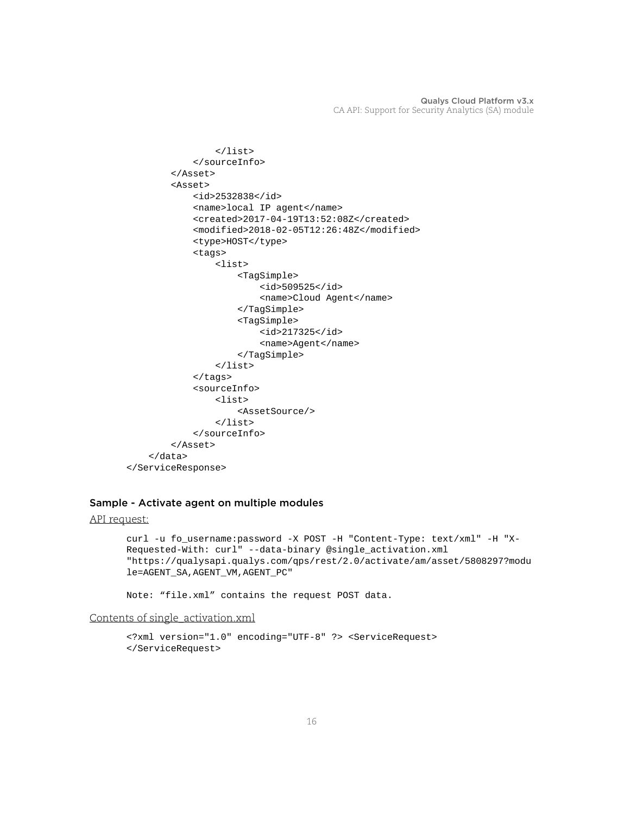```
 </list>
              </sourceInfo>
         </Asset>
         <Asset>
              <id>2532838</id>
              <name>local IP agent</name>
              <created>2017-04-19T13:52:08Z</created>
              <modified>2018-02-05T12:26:48Z</modified>
              <type>HOST</type>
              <tags>
                  <list>
                       <TagSimple>
                           <id>509525</id>
                           <name>Cloud Agent</name>
                       </TagSimple>
                       <TagSimple>
                           <id>217325</id>
                           <name>Agent</name>
                       </TagSimple>
                  </list>
              </tags>
              <sourceInfo>
                  <list>
                       <AssetSource/>
                  </list>
              </sourceInfo>
         </Asset>
     </data>
</ServiceResponse>
```
# Sample - Activate agent on multiple modules

```
API request:
```

```
curl -u fo_username:password -X POST -H "Content-Type: text/xml" -H "X-
Requested-With: curl" --data-binary @single_activation.xml 
"https://qualysapi.qualys.com/qps/rest/2.0/activate/am/asset/5808297?modu
le=AGENT_SA,AGENT_VM,AGENT_PC"
```
Note: "file.xml" contains the request POST data.

#### Contents of single\_activation.xml

```
<?xml version="1.0" encoding="UTF-8" ?> <ServiceRequest> 
</ServiceRequest>
```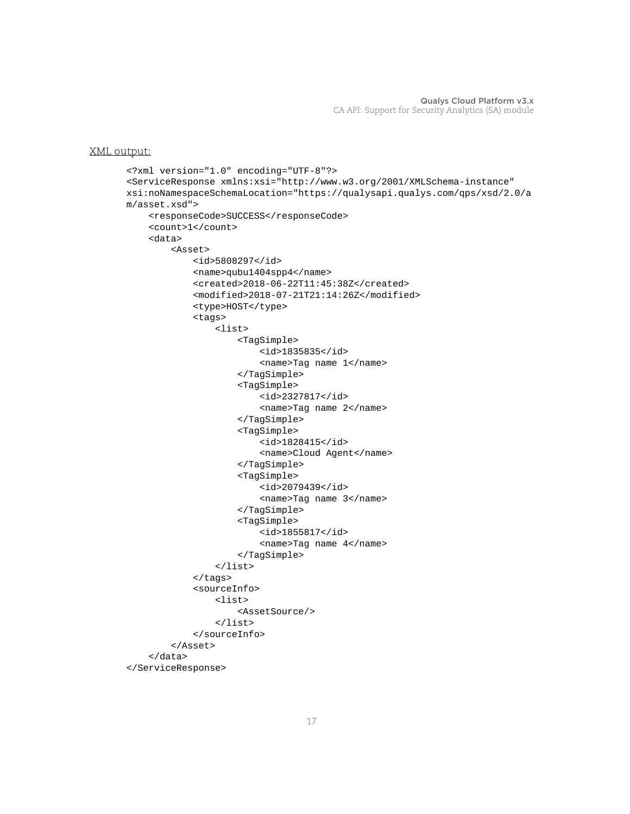```
<?xml version="1.0" encoding="UTF-8"?>
<ServiceResponse xmlns:xsi="http://www.w3.org/2001/XMLSchema-instance" 
xsi:noNamespaceSchemaLocation="https://qualysapi.qualys.com/qps/xsd/2.0/a
m/asset.xsd">
     <responseCode>SUCCESS</responseCode>
     <count>1</count>
     <data>
         <Asset>
              <id>5808297</id>
              <name>qubu1404spp4</name>
              <created>2018-06-22T11:45:38Z</created>
              <modified>2018-07-21T21:14:26Z</modified>
             <type>HOST</type>
              <tags>
                  <list>
                       <TagSimple>
                           <id>1835835</id>
                           <name>Tag name 1</name>
                      </TagSimple>
                       <TagSimple>
                           <id>2327817</id>
                           <name>Tag name 2</name>
                       </TagSimple>
                       <TagSimple>
                           <id>1828415</id>
                           <name>Cloud Agent</name>
                      </TagSimple>
                       <TagSimple>
                           <id>2079439</id>
                           <name>Tag name 3</name>
                      </TagSimple>
                       <TagSimple>
                           <id>1855817</id>
                           <name>Tag name 4</name>
                      </TagSimple>
                  </list>
              </tags>
              <sourceInfo>
                  <list>
                       <AssetSource/>
                 \langle/list>
              </sourceInfo>
         </Asset>
     </data>
</ServiceResponse>
```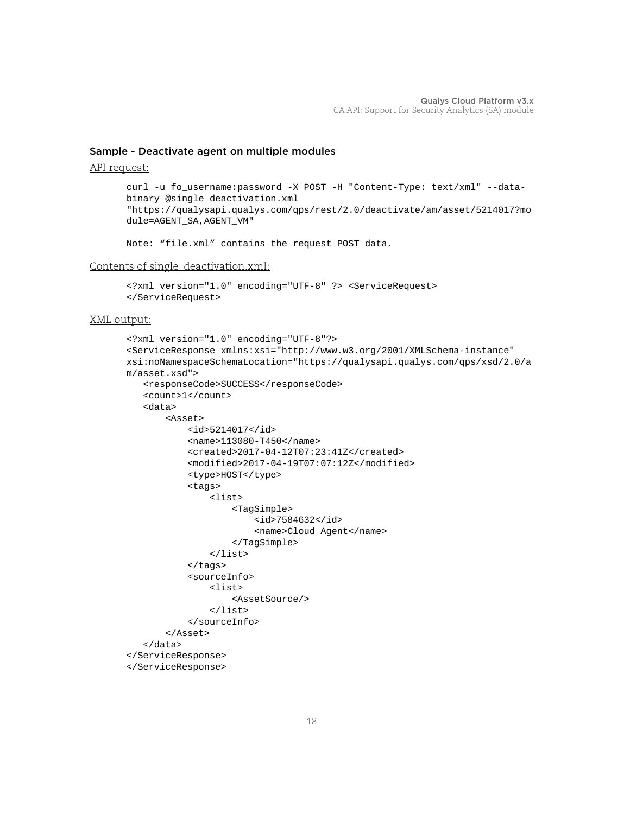#### Sample - Deactivate agent on multiple modules

API request:

```
curl -u fo_username:password -X POST -H "Content-Type: text/xml" --data-
binary @single_deactivation.xml
"https://qualysapi.qualys.com/qps/rest/2.0/deactivate/am/asset/5214017?mo
dule=AGENT_SA,AGENT_VM"
```
Note: "file.xml" contains the request POST data.

Contents of single\_deactivation.xml:

```
<?xml version="1.0" encoding="UTF-8" ?> <ServiceRequest> 
</ServiceRequest>
```

```
<?xml version="1.0" encoding="UTF-8"?>
<ServiceResponse xmlns:xsi="http://www.w3.org/2001/XMLSchema-instance" 
xsi:noNamespaceSchemaLocation="https://qualysapi.qualys.com/qps/xsd/2.0/a
m/asset.xsd">
    <responseCode>SUCCESS</responseCode>
    <count>1</count>
    <data>
        <Asset>
            <id>5214017</id>
            <name>113080-T450</name>
            <created>2017-04-12T07:23:41Z</created>
            <modified>2017-04-19T07:07:12Z</modified>
            <type>HOST</type>
            <tags>
                 <list>
                     <TagSimple>
                         <id>7584632</id>
                         <name>Cloud Agent</name>
                     </TagSimple>
                 </list>
            </tags>
            <sourceInfo>
                 <list>
                     <AssetSource/>
                 </list>
            </sourceInfo>
        </Asset>
    </data>
</ServiceResponse>
</ServiceResponse>
```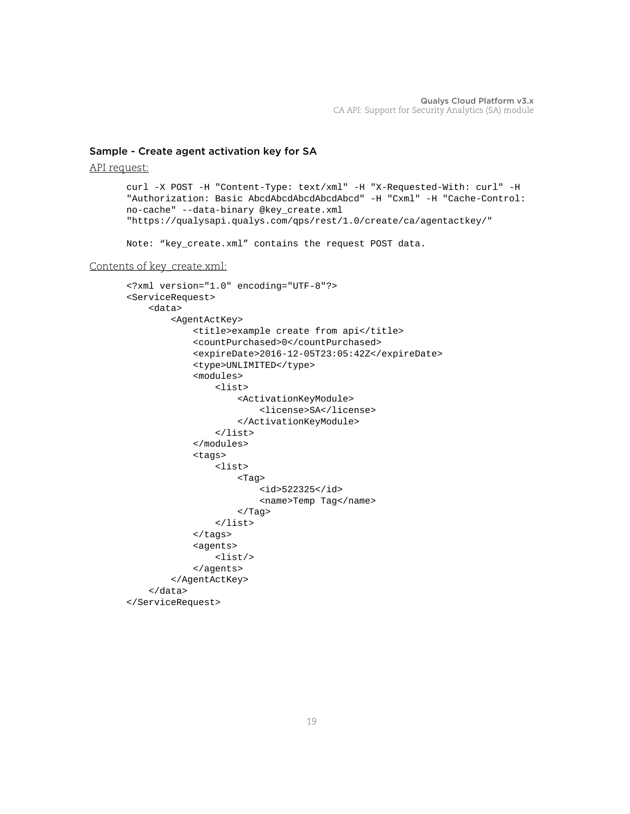# Sample - Create agent activation key for SA

API request:

```
curl -X POST -H "Content-Type: text/xml" -H "X-Requested-With: curl" -H 
"Authorization: Basic AbcdAbcdAbcdAbcdAbcd" -H "Cxml" -H "Cache-Control: 
no-cache" --data-binary @key_create.xml 
"https://qualysapi.qualys.com/qps/rest/1.0/create/ca/agentactkey/"
```
Note: "key\_create.xml" contains the request POST data.

#### Contents of key\_create.xml:

```
<?xml version="1.0" encoding="UTF-8"?>
<ServiceRequest>
     <data>
         <AgentActKey>
              <title>example create from api</title>
              <countPurchased>0</countPurchased>
              <expireDate>2016-12-05T23:05:42Z</expireDate>
              <type>UNLIMITED</type>
              <modules>
                  <list>
                       <ActivationKeyModule>
                           <license>SA</license>
                       </ActivationKeyModule>
                  </list>
              </modules>
              <tags>
                  <list>
                       <Tag>
                           <id>522325</id>
                           <name>Temp Tag</name>
                      \langleTag>
                  </list>
              </tags>
              <agents>
                  <list/>
              </agents>
         </AgentActKey>
     </data>
</ServiceRequest>
```